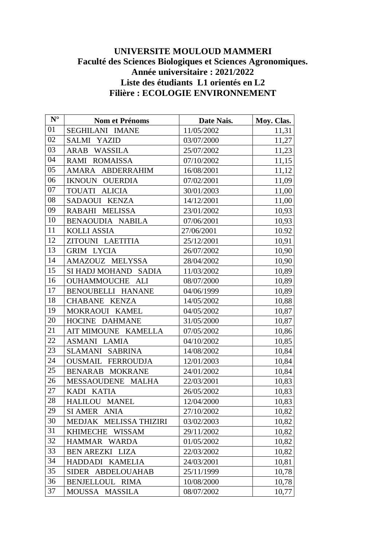## **UNIVERSITE MOULOUD MAMMERI Faculté des Sciences Biologiques et Sciences Agronomiques. Année universitaire : 2021/2022 Liste des étudiants L1 orientés en L2 Filière : ECOLOGIE ENVIRONNEMENT**

| $N^{\circ}$ | <b>Nom et Prénoms</b>            | Date Nais. | Moy. Clas. |
|-------------|----------------------------------|------------|------------|
| 01          | SEGHILANI IMANE                  | 11/05/2002 | 11,31      |
| 02          | SALMI YAZID                      | 03/07/2000 | 11,27      |
| 03          | ARAB WASSILA                     | 25/07/2002 | 11,23      |
| 04          | RAMI ROMAISSA                    | 07/10/2002 | 11,15      |
| 05          | AMARA ABDERRAHIM                 | 16/08/2001 | 11,12      |
| 06          | <b>IKNOUN OUERDIA</b>            | 07/02/2001 | 11,09      |
| 07          | TOUATI ALICIA                    | 30/01/2003 | 11,00      |
| 08          | SADAOUI KENZA                    | 14/12/2001 | 11,00      |
| 09          | RABAHI MELISSA                   | 23/01/2002 | 10,93      |
| 10          | BENAOUDIA NABILA                 | 07/06/2001 | 10,93      |
| 11          | <b>KOLLI ASSIA</b>               | 27/06/2001 | 10.92      |
| 12          | ZITOUNI LAETITIA                 | 25/12/2001 | 10,91      |
| 13          | <b>GRIM LYCIA</b>                | 26/07/2002 | 10,90      |
| 14          | AMAZOUZ MELYSSA                  | 28/04/2002 | 10,90      |
| 15          | SI HADJ MOHAND SADIA             | 11/03/2002 | 10,89      |
| 16          | OUHAMMOUCHE ALI                  | 08/07/2000 | 10,89      |
| 17          | BENOUBELLI HANANE                | 04/06/1999 | 10,89      |
| 18          | CHABANE KENZA                    | 14/05/2002 | 10,88      |
| 19          | MOKRAOUI KAMEL                   | 04/05/2002 | 10,87      |
| 20          | HOCINE DAHMANE                   | 31/05/2000 | 10,87      |
| 21          | AIT MIMOUNE KAMELLA              | 07/05/2002 | 10,86      |
| 22          | <b>ASMANI LAMIA</b>              | 04/10/2002 | 10,85      |
| 23          | SLAMANI SABRINA                  | 14/08/2002 | 10,84      |
| 24          | <b>OUSMAIL FERROUDJA</b>         | 12/01/2003 | 10,84      |
| 25          | BENARAB MOKRANE                  | 24/01/2002 | 10,84      |
| 26          | MESSAOUDENE MALHA                | 22/03/2001 | 10,83      |
| 27          | KADI KATIA                       | 26/05/2002 | 10,83      |
| 28          | HALILOU MANEL                    | 12/04/2000 | 10,83      |
| 29          | SI AMER ANIA                     | 27/10/2002 | 10,82      |
| 30          | MEDJAK MELISSA THIZIRI           | 03/02/2003 | 10,82      |
| 31          | <b>KHIMECHE</b><br><b>WISSAM</b> | 29/11/2002 | 10,82      |
| 32          | HAMMAR WARDA                     | 01/05/2002 | 10,82      |
| 33          | <b>BEN AREZKI LIZA</b>           | 22/03/2002 | 10,82      |
| 34          | HADDADI KAMELIA                  | 24/03/2001 | 10,81      |
| 35          | SIDER ABDELOUAHAB                | 25/11/1999 | 10,78      |
| 36          | <b>BENJELLOUL RIMA</b>           | 10/08/2000 | 10,78      |
| 37          | MOUSSA MASSILA                   | 08/07/2002 | 10,77      |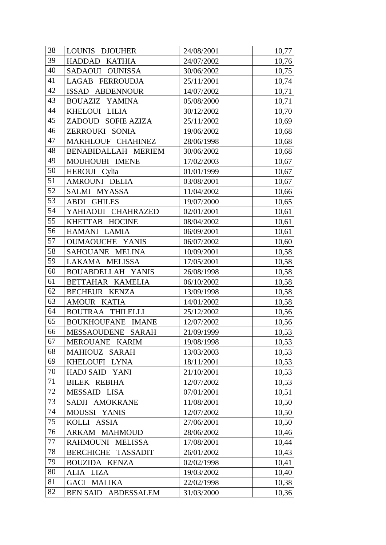| 38 | LOUNIS DJOUHER                       | 24/08/2001 | 10,77 |
|----|--------------------------------------|------------|-------|
| 39 | HADDAD KATHIA                        | 24/07/2002 | 10,76 |
| 40 | SADAOUI OUNISSA                      | 30/06/2002 | 10,75 |
| 41 | LAGAB FERROUDJA                      | 25/11/2001 | 10,74 |
| 42 | ISSAD ABDENNOUR                      | 14/07/2002 | 10,71 |
| 43 | BOUAZIZ YAMINA                       | 05/08/2000 | 10,71 |
| 44 | KHELOUI LILIA                        | 30/12/2002 | 10,70 |
| 45 | ZADOUD SOFIE AZIZA                   | 25/11/2002 | 10,69 |
| 46 | ZERROUKI SONIA                       | 19/06/2002 | 10,68 |
| 47 | MAKHLOUF CHAHINEZ                    | 28/06/1998 | 10,68 |
| 48 | BENABIDALLAH MERIEM                  | 30/06/2002 | 10,68 |
| 49 | MOUHOUBI IMENE                       | 17/02/2003 | 10,67 |
| 50 | HEROUI Cylia                         | 01/01/1999 | 10,67 |
| 51 | AMROUNI DELIA                        | 03/08/2001 | 10,67 |
| 52 | SALMI MYASSA                         | 11/04/2002 | 10,66 |
| 53 | <b>ABDI GHILES</b>                   | 19/07/2000 | 10,65 |
| 54 | YAHIAOUI CHAHRAZED                   | 02/01/2001 | 10,61 |
| 55 | KHETTAB HOCINE                       | 08/04/2002 | 10,61 |
| 56 | HAMANI LAMIA                         | 06/09/2001 | 10,61 |
| 57 | <b>OUMAOUCHE YANIS</b>               | 06/07/2002 | 10,60 |
| 58 | SAHOUANE MELINA                      | 10/09/2001 | 10,58 |
| 59 | LAKAMA MELISSA                       | 17/05/2001 | 10,58 |
| 60 | BOUABDELLAH YANIS                    | 26/08/1998 | 10,58 |
| 61 | BETTAHAR KAMELIA                     | 06/10/2002 | 10,58 |
| 62 | BECHEUR KENZA                        | 13/09/1998 | 10,58 |
| 63 | AMOUR KATIA                          | 14/01/2002 | 10,58 |
| 64 | <b>BOUTRAA THILELLI</b>              | 25/12/2002 | 10,56 |
| 65 | BOUKHOUFANE IMANE                    | 12/07/2002 | 10,56 |
| 66 | MESSAOUDENE SARAH                    | 21/09/1999 | 10,53 |
| 67 | MEROUANE KARIM                       | 19/08/1998 | 10,53 |
| 68 | MAHIOUZ SARAH                        | 13/03/2003 | 10,53 |
| 69 | KHELOUFI LYNA                        | 18/11/2001 | 10,53 |
| 70 | HADJ SAID YANI                       | 21/10/2001 | 10,53 |
| 71 | <b>BILEK REBIHA</b>                  | 12/07/2002 | 10,53 |
| 72 | <b>MESSAID</b><br><b>LISA</b>        | 07/01/2001 | 10,51 |
| 73 | SADJI AMOKRANE                       | 11/08/2001 | 10,50 |
| 74 | MOUSSI YANIS                         | 12/07/2002 | 10,50 |
| 75 | KOLLI ASSIA                          | 27/06/2001 | 10,50 |
| 76 | ARKAM MAHMOUD                        | 28/06/2002 | 10,46 |
| 77 | RAHMOUNI MELISSA                     | 17/08/2001 | 10,44 |
| 78 | BERCHICHE TASSADIT                   | 26/01/2002 | 10,43 |
| 79 | <b>BOUZIDA KENZA</b>                 | 02/02/1998 | 10,41 |
| 80 | ALIA LIZA                            | 19/03/2002 | 10,40 |
| 81 | <b>GACI MALIKA</b>                   | 22/02/1998 | 10,38 |
| 82 | <b>BEN SAID</b><br><b>ABDESSALEM</b> | 31/03/2000 | 10,36 |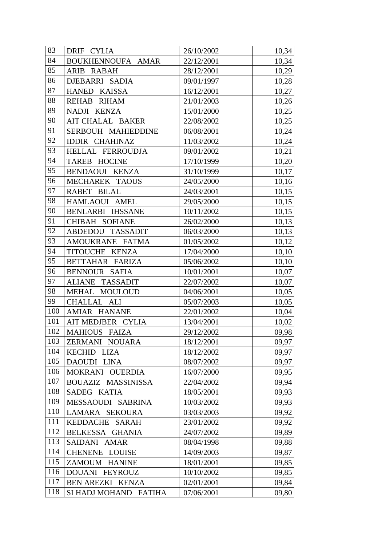| 83  | DRIF CYLIA              | 26/10/2002 | 10,34 |
|-----|-------------------------|------------|-------|
| 84  | BOUKHENNOUFA AMAR       | 22/12/2001 | 10,34 |
| 85  | ARIB RABAH              | 28/12/2001 | 10,29 |
| 86  | DJEBARRI SADIA          | 09/01/1997 | 10,28 |
| 87  | HANED KAISSA            | 16/12/2001 | 10,27 |
| 88  | REHAB RIHAM             | 21/01/2003 | 10,26 |
| 89  | NADJI KENZA             | 15/01/2000 | 10,25 |
| 90  | AIT CHALAL BAKER        | 22/08/2002 | 10,25 |
| 91  | SERBOUH MAHIEDDINE      | 06/08/2001 | 10,24 |
| 92  | <b>IDDIR CHAHINAZ</b>   | 11/03/2002 | 10,24 |
| 93  | HELLAL FERROUDJA        | 09/01/2002 | 10,21 |
| 94  | TAREB HOCINE            | 17/10/1999 | 10,20 |
| 95  | BENDAOUI KENZA          | 31/10/1999 | 10,17 |
| 96  | MECHAREK TAOUS          | 24/05/2000 | 10,16 |
| 97  | RABET BILAL             | 24/03/2001 | 10,15 |
| 98  | HAMLAOUI AMEL           | 29/05/2000 | 10,15 |
| 90  | <b>BENLARBI IHSSANE</b> | 10/11/2002 | 10,15 |
| 91  | CHIBAH SOFIANE          | 26/02/2000 | 10,13 |
| 92  | ABDEDOU TASSADIT        | 06/03/2000 | 10,13 |
| 93  | AMOUKRANE FATMA         | 01/05/2002 | 10,12 |
| 94  | TITOUCHE KENZA          | 17/04/2000 | 10,10 |
| 95  | BETTAHAR FARIZA         | 05/06/2002 | 10,10 |
| 96  | BENNOUR SAFIA           | 10/01/2001 | 10,07 |
| 97  | ALIANE TASSADIT         | 22/07/2002 | 10,07 |
| 98  | MEHAL MOULOUD           | 04/06/2001 | 10,05 |
| 99  | CHALLAL ALI             | 05/07/2003 | 10,05 |
| 100 | AMIAR HANANE            | 22/01/2002 | 10,04 |
| 101 | AIT MEDJBER CYLIA       | 13/04/2001 | 10,02 |
| 102 | MAHIOUS FAIZA           | 29/12/2002 | 09,98 |
| 103 | ZERMANI NOUARA          | 18/12/2001 | 09,97 |
| 104 | KECHID LIZA             | 18/12/2002 | 09,97 |
| 105 | <b>DAOUDI</b><br>LINA   | 08/07/2002 | 09,97 |
| 106 | MOKRANI OUERDIA         | 16/07/2000 | 09,95 |
| 107 | BOUAZIZ MASSINISSA      | 22/04/2002 | 09,94 |
| 108 | SADEG KATIA             | 18/05/2001 | 09,93 |
| 109 | MESSAOUDI SABRINA       | 10/03/2002 | 09,93 |
| 110 | LAMARA SEKOURA          | 03/03/2003 | 09,92 |
| 111 | KEDDACHE SARAH          | 23/01/2002 | 09,92 |
| 112 | BELKESSA GHANIA         | 24/07/2002 | 09,89 |
| 113 | SAIDANI AMAR            | 08/04/1998 | 09,88 |
| 114 | <b>CHENENE LOUISE</b>   | 14/09/2003 | 09,87 |
| 115 | ZAMOUM HANINE           | 18/01/2001 | 09,85 |
| 116 | DOUANI FEYROUZ          | 10/10/2002 | 09,85 |
| 117 | BEN AREZKI KENZA        | 02/01/2001 | 09,84 |
| 118 | SI HADJ MOHAND FATIHA   | 07/06/2001 | 09,80 |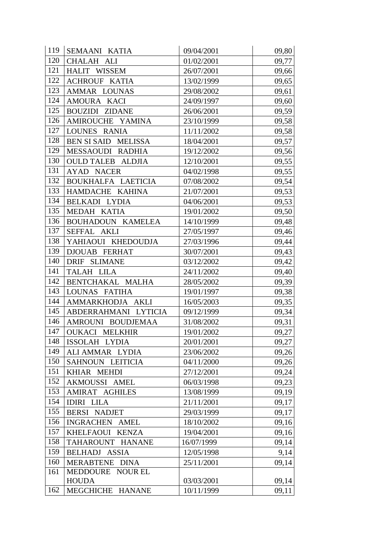| 119 | SEMAANI KATIA                   | 09/04/2001 | 09,80 |
|-----|---------------------------------|------------|-------|
| 120 | CHALAH ALI                      | 01/02/2001 | 09,77 |
| 121 | HALIT WISSEM                    | 26/07/2001 | 09,66 |
| 122 | <b>ACHROUF KATIA</b>            | 13/02/1999 | 09,65 |
| 123 | AMMAR LOUNAS                    | 29/08/2002 | 09,61 |
| 124 | AMOURA KACI                     | 24/09/1997 | 09,60 |
| 125 | <b>BOUZIDI ZIDANE</b>           | 26/06/2001 | 09,59 |
| 126 | AMIROUCHE YAMINA                | 23/10/1999 | 09,58 |
| 127 | LOUNES RANIA                    | 11/11/2002 | 09,58 |
| 128 | BEN SI SAID MELISSA             | 18/04/2001 | 09,57 |
| 129 | MESSAOUDI RADHIA                | 19/12/2002 | 09,56 |
| 130 | <b>OULD TALEB ALDJIA</b>        | 12/10/2001 | 09,55 |
| 131 | AYAD NACER                      | 04/02/1998 | 09,55 |
| 132 | BOUKHALFA LAETICIA              | 07/08/2002 | 09,54 |
| 133 | HAMDACHE KAHINA                 | 21/07/2001 | 09,53 |
| 134 | BELKADI LYDIA                   | 04/06/2001 | 09,53 |
| 135 | MEDAH KATIA                     | 19/01/2002 | 09,50 |
| 136 | <b>BOUHADOUN KAMELEA</b>        | 14/10/1999 | 09,48 |
| 137 | SEFFAL AKLI                     | 27/05/1997 | 09,46 |
| 138 | YAHIAOUI KHEDOUDJA              | 27/03/1996 | 09,44 |
| 139 | <b>DJOUAB FERHAT</b>            | 30/07/2001 | 09,43 |
| 140 | DRIF SLIMANE                    | 03/12/2002 | 09,42 |
| 141 | TALAH LILA                      | 24/11/2002 | 09,40 |
| 142 | BENTCHAKAL MALHA                | 28/05/2002 | 09,39 |
| 143 | LOUNAS FATIHA                   | 19/01/1997 | 09,38 |
| 144 | AMMARKHODJA AKLI                | 16/05/2003 | 09,35 |
| 145 | ABDERRAHMANI LYTICIA            | 09/12/1999 | 09,34 |
| 146 | AMROUNI BOUDJEMAA               | 31/08/2002 | 09,31 |
| 147 | <b>OUKACI MELKHIR</b>           | 19/01/2002 | 09,27 |
| 148 | ISSOLAH LYDIA                   | 20/01/2001 | 09,27 |
| 149 | ALI AMMAR LYDIA                 | 23/06/2002 | 09,26 |
| 150 | SAHNOUN LEITICIA                | 04/11/2000 | 09,26 |
| 151 | KHIAR MEHDI                     | 27/12/2001 | 09,24 |
| 152 | AKMOUSSI AMEL                   | 06/03/1998 | 09,23 |
| 153 | AMIRAT AGHILES                  | 13/08/1999 | 09,19 |
| 154 | <b>IDIRI LILA</b>               | 21/11/2001 | 09,17 |
| 155 | <b>BERSI NADJET</b>             | 29/03/1999 | 09,17 |
| 156 | INGRACHEN AMEL                  | 18/10/2002 | 09,16 |
| 157 | KHELFAOUI KENZA                 | 19/04/2001 | 09,16 |
| 158 | TAHAROUNT HANANE                | 16/07/1999 | 09,14 |
| 159 | <b>BELHADJ ASSIA</b>            | 12/05/1998 | 9,14  |
| 160 | <b>MERABTENE</b><br><b>DINA</b> | 25/11/2001 | 09,14 |
| 161 | MEDDOURE NOUR EL                |            |       |
|     | <b>HOUDA</b>                    | 03/03/2001 | 09,14 |
| 162 | MEGCHICHE HANANE                | 10/11/1999 | 09,11 |